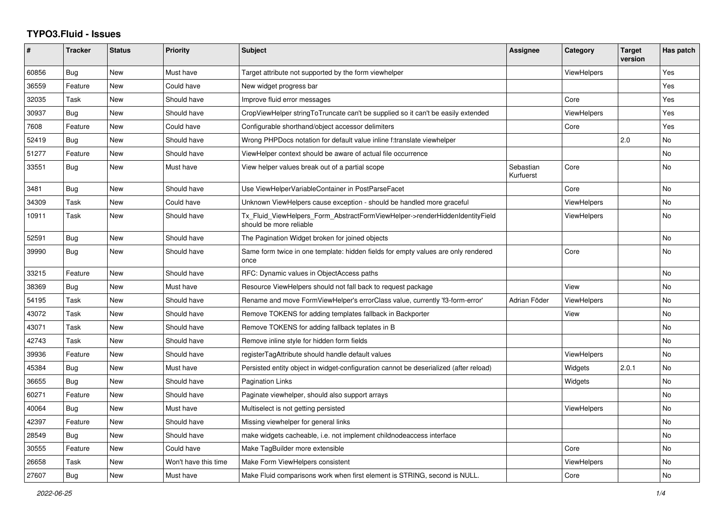## **TYPO3.Fluid - Issues**

| #     | Tracker    | <b>Status</b> | <b>Priority</b>      | <b>Subject</b>                                                                                         | <b>Assignee</b>        | Category           | <b>Target</b><br>version | Has patch |
|-------|------------|---------------|----------------------|--------------------------------------------------------------------------------------------------------|------------------------|--------------------|--------------------------|-----------|
| 60856 | Bug        | New           | Must have            | Target attribute not supported by the form viewhelper                                                  |                        | ViewHelpers        |                          | Yes       |
| 36559 | Feature    | <b>New</b>    | Could have           | New widget progress bar                                                                                |                        |                    |                          | Yes       |
| 32035 | Task       | <b>New</b>    | Should have          | Improve fluid error messages                                                                           |                        | Core               |                          | Yes       |
| 30937 | Bug        | <b>New</b>    | Should have          | CropViewHelper stringToTruncate can't be supplied so it can't be easily extended                       |                        | ViewHelpers        |                          | Yes       |
| 7608  | Feature    | New           | Could have           | Configurable shorthand/object accessor delimiters                                                      |                        | Core               |                          | Yes       |
| 52419 | Bug        | New           | Should have          | Wrong PHPDocs notation for default value inline f:translate viewhelper                                 |                        |                    | 2.0                      | No        |
| 51277 | Feature    | New           | Should have          | ViewHelper context should be aware of actual file occurrence                                           |                        |                    |                          | <b>No</b> |
| 33551 | Bug        | New           | Must have            | View helper values break out of a partial scope                                                        | Sebastian<br>Kurfuerst | Core               |                          | No        |
| 3481  | Bug        | <b>New</b>    | Should have          | Use ViewHelperVariableContainer in PostParseFacet                                                      |                        | Core               |                          | <b>No</b> |
| 34309 | Task       | New           | Could have           | Unknown ViewHelpers cause exception - should be handled more graceful                                  |                        | ViewHelpers        |                          | <b>No</b> |
| 10911 | Task       | <b>New</b>    | Should have          | Tx Fluid ViewHelpers Form AbstractFormViewHelper->renderHiddenIdentityField<br>should be more reliable |                        | <b>ViewHelpers</b> |                          | No        |
| 52591 | Bug        | <b>New</b>    | Should have          | The Pagination Widget broken for joined objects                                                        |                        |                    |                          | <b>No</b> |
| 39990 | Bug        | New           | Should have          | Same form twice in one template: hidden fields for empty values are only rendered<br>once              |                        | Core               |                          | No        |
| 33215 | Feature    | <b>New</b>    | Should have          | RFC: Dynamic values in ObjectAccess paths                                                              |                        |                    |                          | <b>No</b> |
| 38369 | Bug        | New           | Must have            | Resource ViewHelpers should not fall back to request package                                           |                        | View               |                          | No        |
| 54195 | Task       | <b>New</b>    | Should have          | Rename and move FormViewHelper's errorClass value, currently 'f3-form-error'                           | Adrian Föder           | ViewHelpers        |                          | <b>No</b> |
| 43072 | Task       | <b>New</b>    | Should have          | Remove TOKENS for adding templates fallback in Backporter                                              |                        | View               |                          | <b>No</b> |
| 43071 | Task       | <b>New</b>    | Should have          | Remove TOKENS for adding fallback teplates in B                                                        |                        |                    |                          | No        |
| 42743 | Task       | New           | Should have          | Remove inline style for hidden form fields                                                             |                        |                    |                          | No        |
| 39936 | Feature    | New           | Should have          | registerTagAttribute should handle default values                                                      |                        | ViewHelpers        |                          | No        |
| 45384 | Bug        | New           | Must have            | Persisted entity object in widget-configuration cannot be deserialized (after reload)                  |                        | Widgets            | 2.0.1                    | <b>No</b> |
| 36655 | <b>Bug</b> | <b>New</b>    | Should have          | <b>Pagination Links</b>                                                                                |                        | Widgets            |                          | <b>No</b> |
| 60271 | Feature    | New           | Should have          | Paginate viewhelper, should also support arrays                                                        |                        |                    |                          | <b>No</b> |
| 40064 | Bug        | New           | Must have            | Multiselect is not getting persisted                                                                   |                        | ViewHelpers        |                          | No        |
| 42397 | Feature    | New           | Should have          | Missing viewhelper for general links                                                                   |                        |                    |                          | <b>No</b> |
| 28549 | Bug        | New           | Should have          | make widgets cacheable, i.e. not implement childnodeaccess interface                                   |                        |                    |                          | No        |
| 30555 | Feature    | New           | Could have           | Make TagBuilder more extensible                                                                        |                        | Core               |                          | No        |
| 26658 | Task       | <b>New</b>    | Won't have this time | Make Form ViewHelpers consistent                                                                       |                        | <b>ViewHelpers</b> |                          | <b>No</b> |
| 27607 | Bug        | <b>New</b>    | Must have            | Make Fluid comparisons work when first element is STRING, second is NULL.                              |                        | Core               |                          | No        |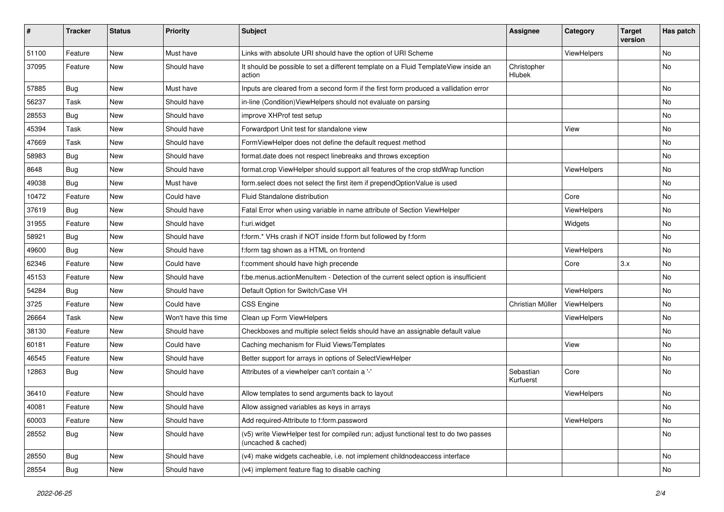| #     | <b>Tracker</b> | <b>Status</b> | <b>Priority</b>      | <b>Subject</b>                                                                                              | <b>Assignee</b>        | Category    | <b>Target</b><br>version | Has patch |
|-------|----------------|---------------|----------------------|-------------------------------------------------------------------------------------------------------------|------------------------|-------------|--------------------------|-----------|
| 51100 | Feature        | <b>New</b>    | Must have            | Links with absolute URI should have the option of URI Scheme                                                |                        | ViewHelpers |                          | <b>No</b> |
| 37095 | Feature        | New           | Should have          | It should be possible to set a different template on a Fluid TemplateView inside an<br>action               | Christopher<br>Hlubek  |             |                          | No        |
| 57885 | Bug            | <b>New</b>    | Must have            | Inputs are cleared from a second form if the first form produced a vallidation error                        |                        |             |                          | <b>No</b> |
| 56237 | Task           | New           | Should have          | in-line (Condition)ViewHelpers should not evaluate on parsing                                               |                        |             |                          | No        |
| 28553 | Bug            | New           | Should have          | improve XHProf test setup                                                                                   |                        |             |                          | <b>No</b> |
| 45394 | Task           | New           | Should have          | Forwardport Unit test for standalone view                                                                   |                        | View        |                          | No        |
| 47669 | Task           | New           | Should have          | FormViewHelper does not define the default request method                                                   |                        |             |                          | No        |
| 58983 | Bug            | New           | Should have          | format.date does not respect linebreaks and throws exception                                                |                        |             |                          | No        |
| 8648  | Bug            | New           | Should have          | format.crop ViewHelper should support all features of the crop stdWrap function                             |                        | ViewHelpers |                          | No        |
| 49038 | Bug            | <b>New</b>    | Must have            | form.select does not select the first item if prependOptionValue is used                                    |                        |             |                          | <b>No</b> |
| 10472 | Feature        | New           | Could have           | Fluid Standalone distribution                                                                               |                        | Core        |                          | No        |
| 37619 | Bug            | New           | Should have          | Fatal Error when using variable in name attribute of Section ViewHelper                                     |                        | ViewHelpers |                          | No        |
| 31955 | Feature        | New           | Should have          | f:uri.widget                                                                                                |                        | Widgets     |                          | No        |
| 58921 | Bug            | New           | Should have          | f:form.* VHs crash if NOT inside f:form but followed by f:form                                              |                        |             |                          | No        |
| 49600 | Bug            | <b>New</b>    | Should have          | f:form tag shown as a HTML on frontend                                                                      |                        | ViewHelpers |                          | No        |
| 62346 | Feature        | New           | Could have           | f:comment should have high precende                                                                         |                        | Core        | 3.x                      | No        |
| 45153 | Feature        | New           | Should have          | f:be.menus.actionMenuItem - Detection of the current select option is insufficient                          |                        |             |                          | No        |
| 54284 | Bug            | New           | Should have          | Default Option for Switch/Case VH                                                                           |                        | ViewHelpers |                          | <b>No</b> |
| 3725  | Feature        | New           | Could have           | <b>CSS Engine</b>                                                                                           | Christian Müller       | ViewHelpers |                          | No        |
| 26664 | Task           | New           | Won't have this time | Clean up Form ViewHelpers                                                                                   |                        | ViewHelpers |                          | No        |
| 38130 | Feature        | New           | Should have          | Checkboxes and multiple select fields should have an assignable default value                               |                        |             |                          | <b>No</b> |
| 60181 | Feature        | New           | Could have           | Caching mechanism for Fluid Views/Templates                                                                 |                        | View        |                          | No        |
| 46545 | Feature        | New           | Should have          | Better support for arrays in options of SelectViewHelper                                                    |                        |             |                          | <b>No</b> |
| 12863 | Bug            | New           | Should have          | Attributes of a viewhelper can't contain a '-'                                                              | Sebastian<br>Kurfuerst | Core        |                          | No        |
| 36410 | Feature        | New           | Should have          | Allow templates to send arguments back to layout                                                            |                        | ViewHelpers |                          | No        |
| 40081 | Feature        | New           | Should have          | Allow assigned variables as keys in arrays                                                                  |                        |             |                          | No        |
| 60003 | Feature        | New           | Should have          | Add required-Attribute to f:form.password                                                                   |                        | ViewHelpers |                          | No        |
| 28552 | <b>Bug</b>     | New           | Should have          | (v5) write ViewHelper test for compiled run; adjust functional test to do two passes<br>(uncached & cached) |                        |             |                          | No        |
| 28550 | Bug            | New           | Should have          | (v4) make widgets cacheable, i.e. not implement childnodeaccess interface                                   |                        |             |                          | No        |
| 28554 | <b>Bug</b>     | New           | Should have          | (v4) implement feature flag to disable caching                                                              |                        |             |                          | No        |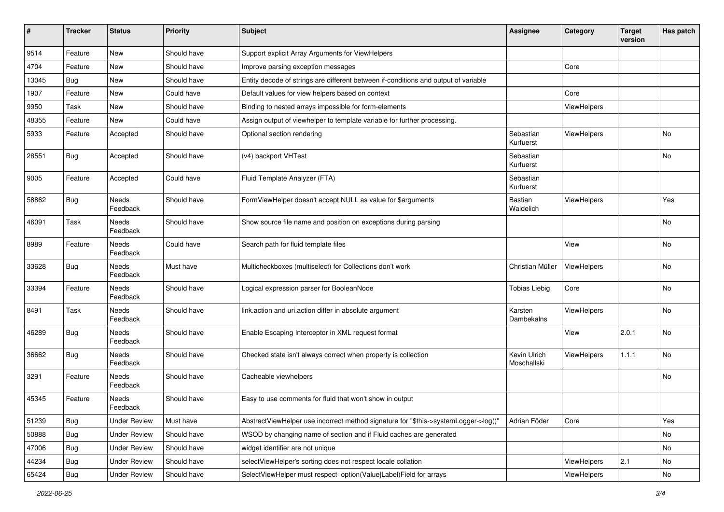| #     | <b>Tracker</b> | <b>Status</b>            | <b>Priority</b> | <b>Subject</b>                                                                      | <b>Assignee</b>             | Category           | <b>Target</b><br>version | Has patch |
|-------|----------------|--------------------------|-----------------|-------------------------------------------------------------------------------------|-----------------------------|--------------------|--------------------------|-----------|
| 9514  | Feature        | New                      | Should have     | Support explicit Array Arguments for ViewHelpers                                    |                             |                    |                          |           |
| 4704  | Feature        | New                      | Should have     | Improve parsing exception messages                                                  |                             | Core               |                          |           |
| 13045 | Bug            | New                      | Should have     | Entity decode of strings are different between if-conditions and output of variable |                             |                    |                          |           |
| 1907  | Feature        | New                      | Could have      | Default values for view helpers based on context                                    |                             | Core               |                          |           |
| 9950  | Task           | New                      | Should have     | Binding to nested arrays impossible for form-elements                               |                             | ViewHelpers        |                          |           |
| 48355 | Feature        | New                      | Could have      | Assign output of viewhelper to template variable for further processing.            |                             |                    |                          |           |
| 5933  | Feature        | Accepted                 | Should have     | Optional section rendering                                                          | Sebastian<br>Kurfuerst      | ViewHelpers        |                          | <b>No</b> |
| 28551 | Bug            | Accepted                 | Should have     | (v4) backport VHTest                                                                | Sebastian<br>Kurfuerst      |                    |                          | No        |
| 9005  | Feature        | Accepted                 | Could have      | Fluid Template Analyzer (FTA)                                                       | Sebastian<br>Kurfuerst      |                    |                          |           |
| 58862 | <b>Bug</b>     | Needs<br>Feedback        | Should have     | FormViewHelper doesn't accept NULL as value for \$arguments                         | Bastian<br>Waidelich        | ViewHelpers        |                          | Yes       |
| 46091 | Task           | Needs<br>Feedback        | Should have     | Show source file name and position on exceptions during parsing                     |                             |                    |                          | No        |
| 8989  | Feature        | <b>Needs</b><br>Feedback | Could have      | Search path for fluid template files                                                |                             | View               |                          | <b>No</b> |
| 33628 | Bug            | Needs<br>Feedback        | Must have       | Multicheckboxes (multiselect) for Collections don't work                            | Christian Müller            | ViewHelpers        |                          | <b>No</b> |
| 33394 | Feature        | Needs<br>Feedback        | Should have     | Logical expression parser for BooleanNode                                           | <b>Tobias Liebig</b>        | Core               |                          | <b>No</b> |
| 8491  | Task           | Needs<br>Feedback        | Should have     | link.action and uri.action differ in absolute argument                              | Karsten<br>Dambekalns       | ViewHelpers        |                          | No        |
| 46289 | <b>Bug</b>     | Needs<br>Feedback        | Should have     | Enable Escaping Interceptor in XML request format                                   |                             | View               | 2.0.1                    | No        |
| 36662 | <b>Bug</b>     | Needs<br>Feedback        | Should have     | Checked state isn't always correct when property is collection                      | Kevin Ulrich<br>Moschallski | <b>ViewHelpers</b> | 1.1.1                    | No        |
| 3291  | Feature        | Needs<br>Feedback        | Should have     | Cacheable viewhelpers                                                               |                             |                    |                          | No        |
| 45345 | Feature        | Needs<br>Feedback        | Should have     | Easy to use comments for fluid that won't show in output                            |                             |                    |                          |           |
| 51239 | Bug            | <b>Under Review</b>      | Must have       | AbstractViewHelper use incorrect method signature for "\$this->systemLogger->log()" | Adrian Föder                | Core               |                          | Yes       |
| 50888 | <b>Bug</b>     | <b>Under Review</b>      | Should have     | WSOD by changing name of section and if Fluid caches are generated                  |                             |                    |                          | No        |
| 47006 | <b>Bug</b>     | <b>Under Review</b>      | Should have     | widget identifier are not unique                                                    |                             |                    |                          | No        |
| 44234 | <b>Bug</b>     | <b>Under Review</b>      | Should have     | selectViewHelper's sorting does not respect locale collation                        |                             | ViewHelpers        | 2.1                      | No        |
| 65424 | Bug            | <b>Under Review</b>      | Should have     | SelectViewHelper must respect option(Value Label)Field for arrays                   |                             | ViewHelpers        |                          | No        |